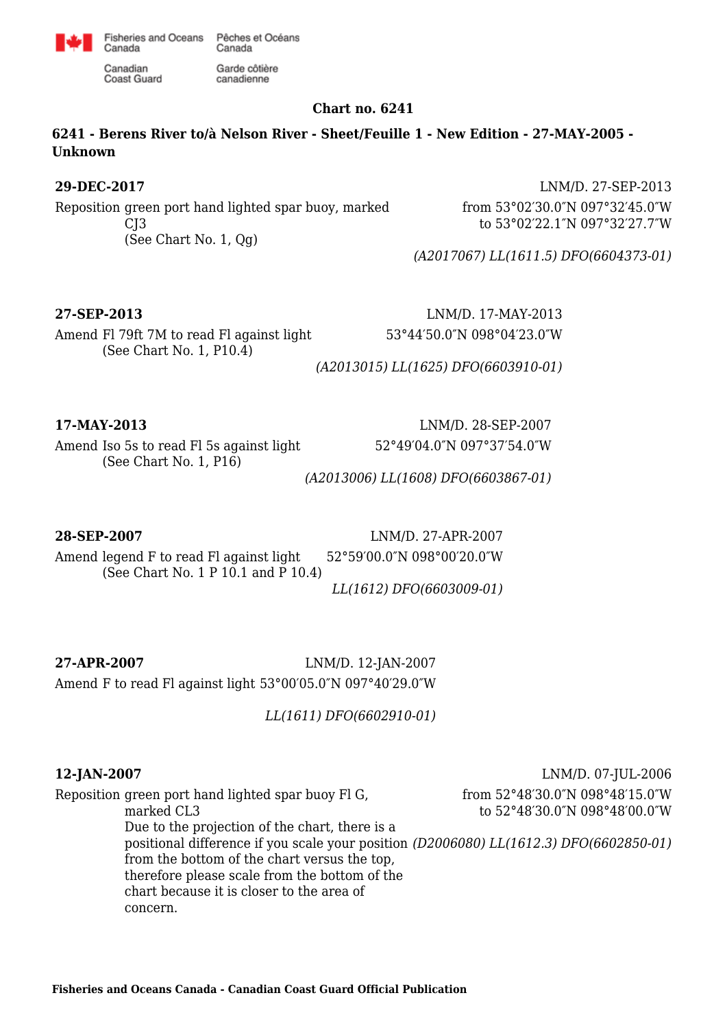

Garde côtière

canadienne

Canadian **Coast Guard** 

Canada

# **Chart no. 6241**

**6241 - Berens River to/à Nelson River - Sheet/Feuille 1 - New Edition - 27-MAY-2005 - Unknown**

Reposition green port hand lighted spar buoy, marked CJ3 (See Chart No. 1, Qg)

**29-DEC-2017** LNM/D. 27-SEP-2013 from 53°02′30.0″N 097°32′45.0″W to 53°02′22.1″N 097°32′27.7″W

*(A2017067) LL(1611.5) DFO(6604373-01)*

Amend Fl 79ft 7M to read Fl against light (See Chart No. 1, P10.4)

**27-SEP-2013** LNM/D. 17-MAY-2013 53°44′50.0″N 098°04′23.0″W

*(A2013015) LL(1625) DFO(6603910-01)*

Amend Iso 5s to read Fl 5s against light (See Chart No. 1, P16)

**17-MAY-2013** LNM/D. 28-SEP-2007 52°49′04.0″N 097°37′54.0″W

*(A2013006) LL(1608) DFO(6603867-01)*

## **28-SEP-2007** LNM/D. 27-APR-2007

Amend legend F to read Fl against light (See Chart No. 1 P 10.1 and P 10.4) 52°59′00.0″N 098°00′20.0″W

*LL(1612) DFO(6603009-01)*

**27-APR-2007** LNM/D. 12-JAN-2007 Amend F to read Fl against light 53°00′05.0″N 097°40′29.0″W

Reposition green port hand lighted spar buoy Fl G,

*LL(1611) DFO(6602910-01)*

**12-JAN-2007** LNM/D. 07-JUL-2006 from 52°48′30.0″N 098°48′15.0″W to 52°48′30.0″N 098°48′00.0″W

marked CL3 Due to the projection of the chart, there is a positional difference if you scale your position *(D2006080) LL(1612.3) DFO(6602850-01)*from the bottom of the chart versus the top, therefore please scale from the bottom of the chart because it is closer to the area of concern.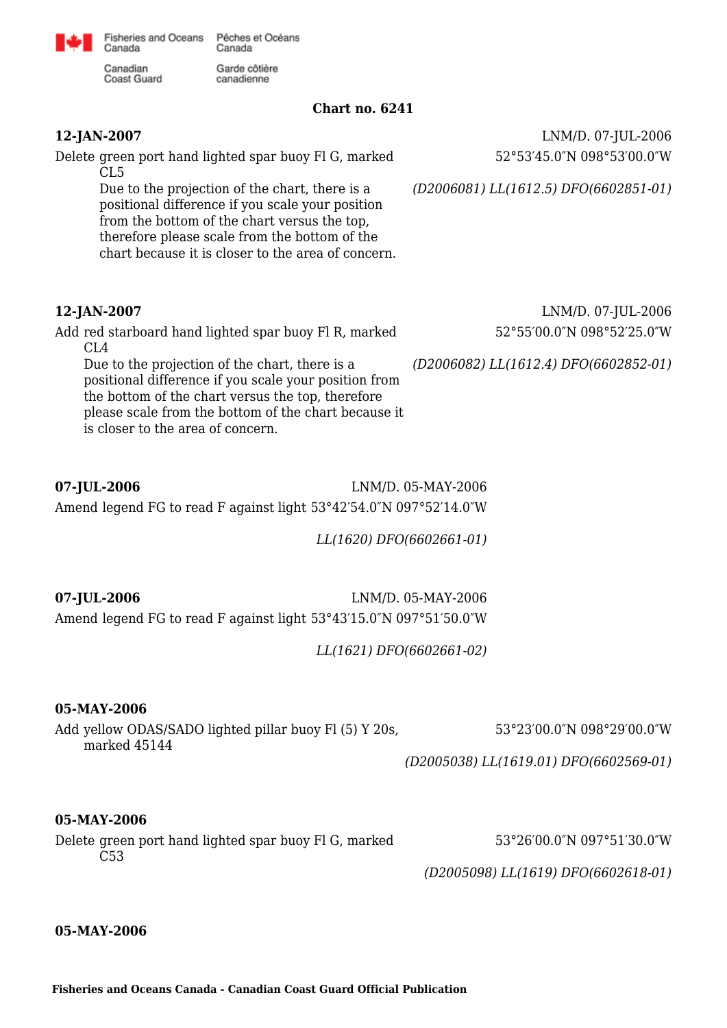

Fisheries and Oceans Pêches et Océans Canada

Garde côtière

canadienne

Canadian **Coast Guard** 

Canada

**Chart no. 6241**

Delete green port hand lighted spar buoy Fl G, marked CL5

> Due to the projection of the chart, there is a positional difference if you scale your position from the bottom of the chart versus the top, therefore please scale from the bottom of the chart because it is closer to the area of concern.

Add red starboard hand lighted spar buoy Fl R, marked  $CI.4$ 

Due to the projection of the chart, there is a positional difference if you scale your position from the bottom of the chart versus the top, therefore please scale from the bottom of the chart because it is closer to the area of concern.

**12-JAN-2007** LNM/D. 07-JUL-2006 52°53′45.0″N 098°53′00.0″W

*(D2006081) LL(1612.5) DFO(6602851-01)*

**12-JAN-2007** LNM/D. 07-JUL-2006 52°55′00.0″N 098°52′25.0″W

*(D2006082) LL(1612.4) DFO(6602852-01)*

**07-JUL-2006** LNM/D. 05-MAY-2006 Amend legend FG to read F against light 53°42′54.0″N 097°52′14.0″W

*LL(1620) DFO(6602661-01)*

**07-JUL-2006** LNM/D. 05-MAY-2006 Amend legend FG to read F against light 53°43′15.0″N 097°51′50.0″W

*LL(1621) DFO(6602661-02)*

### **05-MAY-2006**

Add yellow ODAS/SADO lighted pillar buoy Fl (5) Y 20s, marked 45144

53°23′00.0″N 098°29′00.0″W

*(D2005038) LL(1619.01) DFO(6602569-01)*

### **05-MAY-2006**

Delete green port hand lighted spar buoy Fl G, marked C53

53°26′00.0″N 097°51′30.0″W

*(D2005098) LL(1619) DFO(6602618-01)*

### **05-MAY-2006**